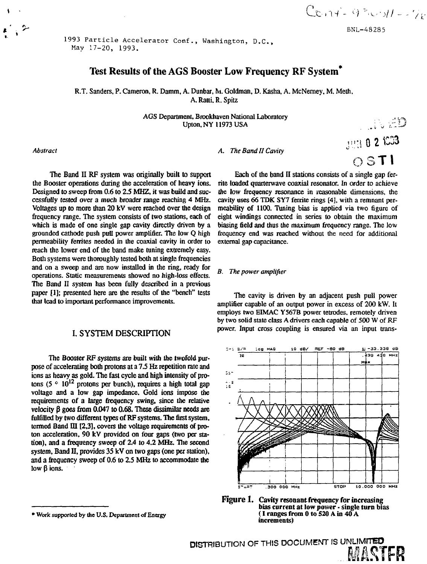$C_{C_1}$  $A^2 - 4^3$   $C_1$  $H = -76$ 

BNL-48285

**JUN 0 2 1033** 

O3T1

1993 Particle Accelerator Conf., Washington, D.C. May 17-20, 1993.

# Test Results of the AGS Booster Low Frequency RF System\*

R.T. Sanders, P. Cameron, R. Damm, A. Dunbar, M. Goldman, D. Kasha, A. McNerney, M. Meth, A. Ratti, R. Spitz

> AGS Department, Brookhaven National Laboratory<br>Upton, NY 11973 USA Upton, NY 11973 USA *V\,* ;;l *I*

*Abstract A. The Band II Cavity*

The Band II RF system was originally built to support the Booster operations during the acceleration of heavy ions. Designed to sweep from 0.6 to 2.5 MHZ, it was build and successfully tested over a much broader range reaching 4 MHz. Voltages up to more than 20 kV were reached over the design frequency range. The system consists of two stations, each of which is made of one single gap cavity directly driven by a grounded cathode push pull power amplifier. The low Q high permeability ferriies needed in the coaxial cavity in order to reach the lower end of the band make tuning extremely easy. Both systems were thoroughly tested both at single frequencies and on a sweep and are now installed in the ring, ready for operations. Static measurements showed no high-loss effects. The Band II system has been fully described in a previous paper [1]; presented here are the results of the "bench" tests that lead to important performance improvements.

## **I. SYSTEM DESCRIPTION**

The Booster RF systems are built with the twofold purpose of accelerating both protons at a 7.5 Hz repetition rate and ions as heavy as gold. The fast cycle and high intensity of protons (5  $\degree$  10<sup>12</sup> protons per bunch), requires a high total gap voltage and a low gap impedance. Gold ions impose the requirements of a large frequency swing, since the relative velocity  $\beta$  goes from 0.047 to 0.68. These dissimilar needs are fulfilled by two different types of RF systems. The first system, termed Band  $III$  [2,3], covers the voltage requirements of proton acceleration, 90 kV provided on four gaps (two per station), and a frequency sweep of 2.4 to 4.2 MHz. The second system, Band II, provides 35 kV on two gaps (one per station), and a frequency sweep of 0.6 to 2.5 MHz to accommodate the low  $\beta$  ions.

**• Work supported by the U.S. Department of Energy**

Each of the band II stations consists of a single gap ferrite loaded quarterwave coaxial resonator. In order to achieve the low frequency resonance in reasonable dimensions, the cavity uses 66 TDK SY7 ferrite rings [4], with a remnant permeability of 1100. Tuning bias is applied via two figure of eight windings connected in series to obtain the maximum biasing field and thus the maximum frequency range. The low frequency end was reached without the need for additional external gap capacitance.

#### *B. The power amplifier*

The cavity is driven by an adjacent push pull power amplifier capable of an output power in excess of 200 kW. It employs two EIMAC Y567B power tetrodes, remotely driven by two solid state class A drivers each capable of 500 W of RF power. Input cross coupling is ensured via an input trans-



**bias current at low power • single turn** bias {**I** ranges **from 0 to 520 A in 40 A increments)**

DISTRIBUTION OF THIS DOCUMENT IS UNLIMITED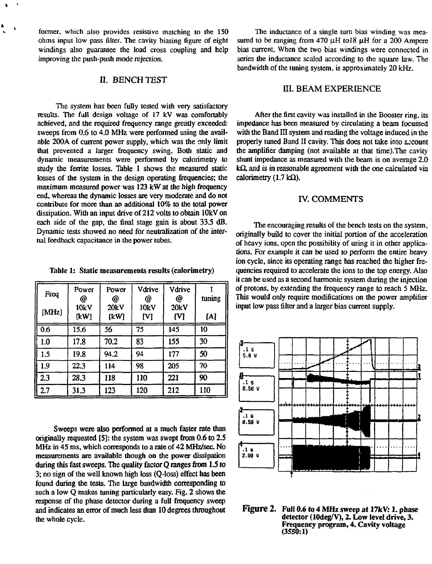former, which also provides resistive matching to the 150 ohms input low pass filter. The cavity biasing figure of eight windings also guarantee the load cross coupling and help improving the push-push mode rejection.

## n. BENCH TEST

The system has been fully tested with very satisfactory results. The full design voltage of 17 kV was comfortably achieved, and the required frequency range greatly exceeded: sweeps from 0.6 to 4.0 MHz were performed using the available 200A of current power supply, which was the only limit that prevented a larger frequency swing. Both static and dynamic measurements were performed by calorimetry to study the ferrite losses. Table 1 shows the measured static losses of the system in the design operating frequencies; the maximum measured power was 123 kW at the high frequency end, whereas the dynamic losses are very moderate and do not contribute for more than an additional 10% to the total power dissipation. With an input drive of 212 volts to obtain lOkV on each side of the gap, the final stage gain is about 33.S dB. Dynamic tests showed no need for neutralization of the internal feedback capacitance in the power tubes.

Table 1: Static measurements results (calorimetry)

| Freq  | Power<br>@   | Power<br>@   | Vdrive<br>@ | Vdrive<br>@ | tuning |
|-------|--------------|--------------|-------------|-------------|--------|
| [MHz] | 10kV<br>[kW] | 20kV<br>[kW] | 10kV<br>M   | 20kV<br>M   | [A]    |
| 0.6   | 15.6         | 56           | 75          | 145         | 10     |
| 1.0   | 17.8         | 70.2         | 83          | 155         | 30     |
| 1.5   | 19.8         | 94.2         | 94          | 177         | 50     |
| 1.9   | 22,3         | 114          | 98          | 205         | 70     |
| 2.3   | 28.3         | 118          | 110         | 221         | 90     |
| 2.7   | 31.3         | 123          | 120         | 212         | 110    |

Sweeps were also performed at a much faster rate than originally requested [5]: the system was swept from 0.6 to 2.5 MHz in 45 ms, which corresponds to a rate of 42 MHz/sec. No measurements are available though on the power dissipation during this fast sweeps. The quality factor Q ranges from 1.5 to 3; no sign of the well known high loss (Q-loss) effect has been found during the tests. The large bandwidth corresponding to such a low Q makes tuning particularly easy. Fig. 2 shows the response of the phase detector during a full frequency sweep and indicates an error of much less than 10 degrees throughout the whole cycle.

The inductance of a single turn bias winding was measured to be ranging from 470  $\mu$ H tol8  $\mu$ H for a 200 Ampere bias current. When the two bias windings were connected in series the inductance scaled according to the square law. The bandwidth of the tuning system, is approximately 20 kHz.

# HI. BEAM EXPERIENCE

After the first cavity was installed in the Booster ring, its impedance has been measured by circulating a beam focussed with the Band III system and reading the voltage induced in the properly tuned Band II cavity. This does not take into account the amplifier damping (not available at that time).The cavity shunt impedance as measured with the beam is on average 2.0  $k\Omega$ , and is in reasonable agreement with the one calculated via calorimetry (1.7 k $\Omega$ ).

# IV. COMMENTS

The encouraging results of the bench tests on the system, originally build to cover the initial portion of the acceleration of heavy ions, open the possibility of using it in other applications. For example it can be used to perform the entire heavy ion cycle, since its operating range has reached the higher frequencies required to accelerate the ions to the top energy. Also it can be used as a second harmonic system during the injection of protons, by extending the frequency range to reach 5 MHz. This would only require modifications on the power amplifier input low pass filter and a larger bias current supply.



**Figure 2. Full 0.6 to 4 MHz sweep at 17kV: 1. phase detector (lOdeg/V), 2. Low level drive, 3. Frequency program, 4. Cavity voltage (3550:1)**